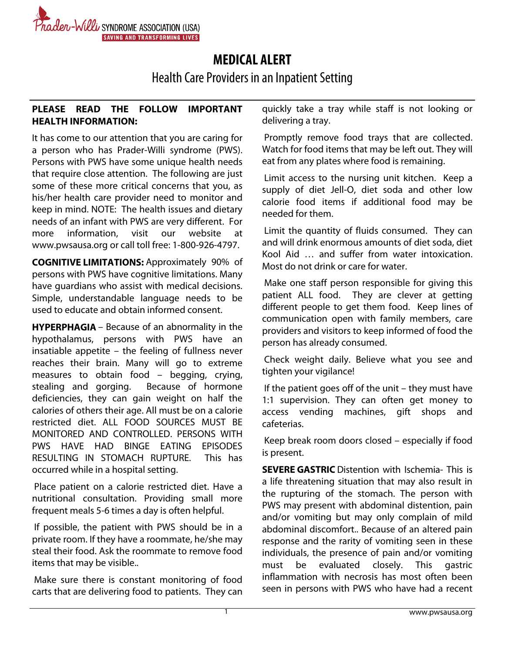

## **MEDICAL ALERT**

Health Care Providers in an Inpatient Setting

## **PLEASE READ THE FOLLOW IMPORTANT HEALTH INFORMATION:**

It has come to our attention that you are caring for a person who has Prader-Willi syndrome (PWS). Persons with PWS have some unique health needs that require close attention. The following are just some of these more critical concerns that you, as his/her health care provider need to monitor and keep in mind. NOTE: The health issues and dietary needs of an infant with PWS are very different. For more information, visit our website at www.pwsausa.org or call toll free: 1-800-926-4797.

**COGNITIVE LIMITATIONS:** Approximately 90% of persons with PWS have cognitive limitations. Many have guardians who assist with medical decisions. Simple, understandable language needs to be used to educate and obtain informed consent.

**HYPERPHAGIA** – Because of an abnormality in the hypothalamus, persons with PWS have an insatiable appetite – the feeling of fullness never reaches their brain. Many will go to extreme measures to obtain food – begging, crying, stealing and gorging. Because of hormone deficiencies, they can gain weight on half the calories of others their age. All must be on a calorie restricted diet. ALL FOOD SOURCES MUST BE MONITORED AND CONTROLLED. PERSONS WITH PWS HAVE HAD BINGE EATING EPISODES RESULTING IN STOMACH RUPTURE. This has occurred while in a hospital setting.

 Place patient on a calorie restricted diet. Have a nutritional consultation. Providing small more frequent meals 5-6 times a day is often helpful.

 If possible, the patient with PWS should be in a private room. If they have a roommate, he/she may steal their food. Ask the roommate to remove food items that may be visible..

 Make sure there is constant monitoring of food carts that are delivering food to patients. They can quickly take a tray while staff is not looking or delivering a tray.

 Promptly remove food trays that are collected. Watch for food items that may be left out. They will eat from any plates where food is remaining.

 Limit access to the nursing unit kitchen. Keep a supply of diet Jell-O, diet soda and other low calorie food items if additional food may be needed for them.

 Limit the quantity of fluids consumed. They can and will drink enormous amounts of diet soda, diet Kool Aid … and suffer from water intoxication. Most do not drink or care for water.

 Make one staff person responsible for giving this patient ALL food. They are clever at getting different people to get them food. Keep lines of communication open with family members, care providers and visitors to keep informed of food the person has already consumed.

 Check weight daily. Believe what you see and tighten your vigilance!

 If the patient goes off of the unit – they must have 1:1 supervision. They can often get money to access vending machines, gift shops and cafeterias.

 Keep break room doors closed – especially if food is present.

**SEVERE GASTRIC** Distention with Ischemia- This is a life threatening situation that may also result in the rupturing of the stomach. The person with PWS may present with abdominal distention, pain and/or vomiting but may only complain of mild abdominal discomfort.. Because of an altered pain response and the rarity of vomiting seen in these individuals, the presence of pain and/or vomiting must be evaluated closely. This gastric inflammation with necrosis has most often been seen in persons with PWS who have had a recent